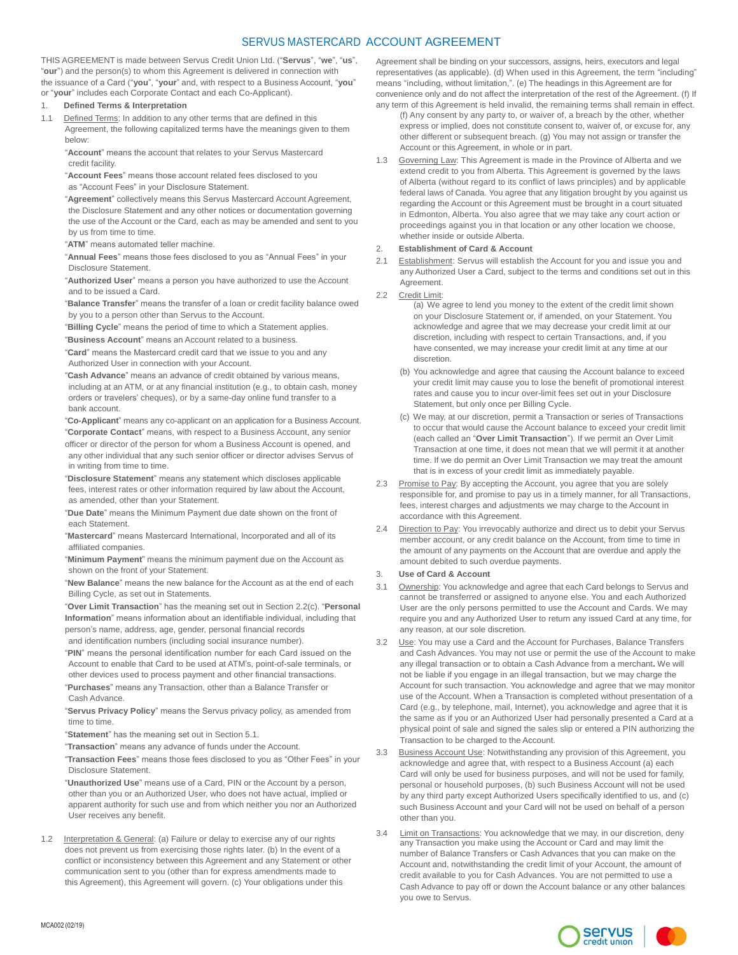# SERVUS MASTERCARD ACCOUNT AGREEMENT

THIS AGREEMENT is made between Servus Credit Union Ltd. ("**Servus**", "**we**", "**us**", "**our**") and the person(s) to whom this Agreement is delivered in connection with the issuance of a Card ("**you**", "**your**" and, with respect to a Business Account, "**you**" or "**your**" includes each Corporate Contact and each Co-Applicant).

# 1. **Defined Terms & Interpretation**

1.1 Defined Terms: In addition to any other terms that are defined in this Agreement, the following capitalized terms have the meanings given to them below:

"**Account**" means the account that relates to your Servus Mastercard credit facility.

"**Account Fees**" means those account related fees disclosed to you as "Account Fees" in your Disclosure Statement.

"**Agreement**" collectively means this Servus Mastercard Account Agreement, the Disclosure Statement and any other notices or documentation governing the use of the Account or the Card, each as may be amended and sent to you by us from time to time.

"**ATM**" means automated teller machine.

"**Annual Fees**" means those fees disclosed to you as "Annual Fees" in your Disclosure Statement.

"**Authorized User**" means a person you have authorized to use the Account and to be issued a Card.

"**Balance Transfer**" means the transfer of a loan or credit facility balance owed by you to a person other than Servus to the Account.

"**Billing Cycle**" means the period of time to which a Statement applies.

"**Business Account**" means an Account related to a business.

"**Card**" means the Mastercard credit card that we issue to you and any Authorized User in connection with your Account.

"**Cash Advance**" means an advance of credit obtained by various means, including at an ATM, or at any financial institution (e.g., to obtain cash, money orders or travelers' cheques), or by a same-day online fund transfer to a bank account.

"**Co-Applicant**" means any co-applicant on an application for a Business Account.

"**Corporate Contact**" means, with respect to a Business Account, any senior officer or director of the person for whom a Business Account is opened, and any other individual that any such senior officer or director advises Servus of in writing from time to time.

"**Disclosure Statement**" means any statement which discloses applicable fees, interest rates or other information required by law about the Account, as amended, other than your Statement.

"**Due Date**" means the Minimum Payment due date shown on the front of each Statement.

"**Mastercard**" means Mastercard International, Incorporated and all of its affiliated companies.

"**Minimum Payment**" means the minimum payment due on the Account as shown on the front of your Statement.

"**New Balance**" means the new balance for the Account as at the end of each Billing Cycle, as set out in Statements.

"**Over Limit Transaction**" has the meaning set out in Section 2.2(c). "**Personal Information**" means information about an identifiable individual, including that person's name, address, age, gender, personal financial records and identification numbers (including social insurance number).

"**PIN**" means the personal identification number for each Card issued on the Account to enable that Card to be used at ATM's, point-of-sale terminals, or

other devices used to process payment and other financial transactions. "**Purchases**" means any Transaction, other than a Balance Transfer or Cash Advance.

"**Servus Privacy Policy**" means the Servus privacy policy, as amended from time to time.

"**Statement**" has the meaning set out in Section 5.1.

"**Transaction**" means any advance of funds under the Account.

"**Transaction Fees**" means those fees disclosed to you as "Other Fees" in your Disclosure Statement.

"**Unauthorized Use**" means use of a Card, PIN or the Account by a person, other than you or an Authorized User, who does not have actual, implied or apparent authority for such use and from which neither you nor an Authorized User receives any benefit.

1.2 Interpretation & General: (a) Failure or delay to exercise any of our rights does not prevent us from exercising those rights later. (b) In the event of a conflict or inconsistency between this Agreement and any Statement or other communication sent to you (other than for express amendments made to this Agreement), this Agreement will govern. (c) Your obligations under this

Agreement shall be binding on your successors, assigns, heirs, executors and legal representatives (as applicable). (d) When used in this Agreement, the term "including" means "including, without limitation,". (e) The headings in this Agreement are for convenience only and do not affect the interpretation of the rest of the Agreement. (f) If any term of this Agreement is held invalid, the remaining terms shall remain in effect.

(f) Any consent by any party to, or waiver of, a breach by the other, whether express or implied, does not constitute consent to, waiver of, or excuse for, any other different or subsequent breach. (g) You may not assign or transfer the Account or this Agreement, in whole or in part.

1.3 Governing Law: This Agreement is made in the Province of Alberta and we extend credit to you from Alberta. This Agreement is governed by the laws of Alberta (without regard to its conflict of laws principles) and by applicable federal laws of Canada. You agree that any litigation brought by you against us regarding the Account or this Agreement must be brought in a court situated in Edmonton, Alberta. You also agree that we may take any court action or proceedings against you in that location or any other location we choose, whether inside or outside Alberta.

## 2. **Establishment of Card & Account**

- Establishment: Servus will establish the Account for you and issue you and any Authorized User a Card, subject to the terms and conditions set out in this Agreement.
- 2.2 Credit Limit:
	- (a) We agree to lend you money to the extent of the credit limit shown on your Disclosure Statement or, if amended, on your Statement. You acknowledge and agree that we may decrease your credit limit at our discretion, including with respect to certain Transactions, and, if you have consented, we may increase your credit limit at any time at our discretion.
	- (b) You acknowledge and agree that causing the Account balance to exceed your credit limit may cause you to lose the benefit of promotional interest rates and cause you to incur over-limit fees set out in your Disclosure Statement, but only once per Billing Cycle.
	- (c) We may, at our discretion, permit a Transaction or series of Transactions to occur that would cause the Account balance to exceed your credit limit (each called an "**Over Limit Transaction**"). If we permit an Over Limit Transaction at one time, it does not mean that we will permit it at another time. If we do permit an Over Limit Transaction we may treat the amount that is in excess of your credit limit as immediately payable.
- 2.3 Promise to Pay: By accepting the Account, you agree that you are solely responsible for, and promise to pay us in a timely manner, for all Transactions, fees, interest charges and adjustments we may charge to the Account in accordance with this Agreement.
- 2.4 Direction to Pay: You irrevocably authorize and direct us to debit your Servus member account, or any credit balance on the Account, from time to time in the amount of any payments on the Account that are overdue and apply the amount debited to such overdue payments.

#### 3. **Use of Card & Account**

- 3.1 Ownership: You acknowledge and agree that each Card belongs to Servus and cannot be transferred or assigned to anyone else. You and each Authorized User are the only persons permitted to use the Account and Cards. We may require you and any Authorized User to return any issued Card at any time, for any reason, at our sole discretion.
- Use: You may use a Card and the Account for Purchases, Balance Transfers and Cash Advances. You may not use or permit the use of the Account to make any illegal transaction or to obtain a Cash Advance from a merchant**.** We will not be liable if you engage in an illegal transaction, but we may charge the Account for such transaction. You acknowledge and agree that we may monitor use of the Account. When a Transaction is completed without presentation of a Card (e.g., by telephone, mail, Internet), you acknowledge and agree that it is the same as if you or an Authorized User had personally presented a Card at a physical point of sale and signed the sales slip or entered a PIN authorizing the Transaction to be charged to the Account.
- 3.3 Business Account Use: Notwithstanding any provision of this Agreement, you acknowledge and agree that, with respect to a Business Account (a) each Card will only be used for business purposes, and will not be used for family, personal or household purposes, (b) such Business Account will not be used by any third party except Authorized Users specifically identified to us, and (c) such Business Account and your Card will not be used on behalf of a person other than you.
- 3.4 Limit on Transactions: You acknowledge that we may, in our discretion, deny any Transaction you make using the Account or Card and may limit the number of Balance Transfers or Cash Advances that you can make on the Account and, notwithstanding the credit limit of your Account, the amount of credit available to you for Cash Advances. You are not permitted to use a Cash Advance to pay off or down the Account balance or any other balances you owe to Servus.

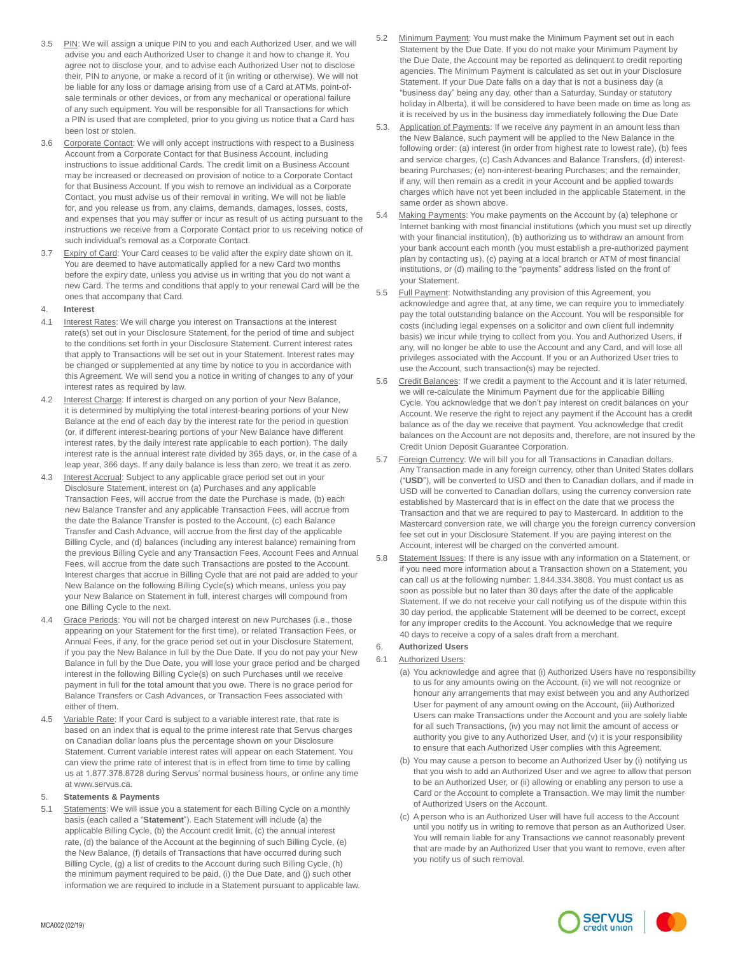- 3.5 PIN: We will assign a unique PIN to you and each Authorized User, and we will advise you and each Authorized User to change it and how to change it. You agree not to disclose your, and to advise each Authorized User not to disclose their, PIN to anyone, or make a record of it (in writing or otherwise). We will not be liable for any loss or damage arising from use of a Card at ATMs, point-ofsale terminals or other devices, or from any mechanical or operational failure of any such equipment. You will be responsible for all Transactions for which a PIN is used that are completed, prior to you giving us notice that a Card has been lost or stolen.
- 3.6 Corporate Contact: We will only accept instructions with respect to a Business Account from a Corporate Contact for that Business Account, including instructions to issue additional Cards. The credit limit on a Business Account may be increased or decreased on provision of notice to a Corporate Contact for that Business Account. If you wish to remove an individual as a Corporate Contact, you must advise us of their removal in writing. We will not be liable for, and you release us from, any claims, demands, damages, losses, costs, and expenses that you may suffer or incur as result of us acting pursuant to the instructions we receive from a Corporate Contact prior to us receiving notice of such individual's removal as a Corporate Contact.
- 3.7 Expiry of Card: Your Card ceases to be valid after the expiry date shown on it. You are deemed to have automatically applied for a new Card two months before the expiry date, unless you advise us in writing that you do not want a new Card. The terms and conditions that apply to your renewal Card will be the ones that accompany that Card.

## 4. **Interest**

- 4.1 Interest Rates: We will charge you interest on Transactions at the interest rate(s) set out in your Disclosure Statement, for the period of time and subject to the conditions set forth in your Disclosure Statement. Current interest rates that apply to Transactions will be set out in your Statement. Interest rates may be changed or supplemented at any time by notice to you in accordance with this Agreement. We will send you a notice in writing of changes to any of your interest rates as required by law.
- 4.2 Interest Charge: If interest is charged on any portion of your New Balance, it is determined by multiplying the total interest-bearing portions of your New Balance at the end of each day by the interest rate for the period in question (or, if different interest-bearing portions of your New Balance have different interest rates, by the daily interest rate applicable to each portion). The daily interest rate is the annual interest rate divided by 365 days, or, in the case of a leap year, 366 days. If any daily balance is less than zero, we treat it as zero.
- 4.3 Interest Accrual: Subject to any applicable grace period set out in your Disclosure Statement, interest on (a) Purchases and any applicable Transaction Fees, will accrue from the date the Purchase is made, (b) each new Balance Transfer and any applicable Transaction Fees, will accrue from the date the Balance Transfer is posted to the Account, (c) each Balance Transfer and Cash Advance, will accrue from the first day of the applicable Billing Cycle, and (d) balances (including any interest balance) remaining from the previous Billing Cycle and any Transaction Fees, Account Fees and Annual Fees, will accrue from the date such Transactions are posted to the Account. Interest charges that accrue in Billing Cycle that are not paid are added to your New Balance on the following Billing Cycle(s) which means, unless you pay your New Balance on Statement in full, interest charges will compound from one Billing Cycle to the next.
- Grace Periods: You will not be charged interest on new Purchases (i.e., those appearing on your Statement for the first time), or related Transaction Fees, or Annual Fees, if any, for the grace period set out in your Disclosure Statement, if you pay the New Balance in full by the Due Date. If you do not pay your New Balance in full by the Due Date, you will lose your grace period and be charged interest in the following Billing Cycle(s) on such Purchases until we receive payment in full for the total amount that you owe. There is no grace period for Balance Transfers or Cash Advances, or Transaction Fees associated with either of them.
- 4.5 Variable Rate: If your Card is subject to a variable interest rate, that rate is based on an index that is equal to the prime interest rate that Servus charges on Canadian dollar loans plus the percentage shown on your Disclosure Statement. Current variable interest rates will appear on each Statement. You can view the prime rate of interest that is in effect from time to time by calling us at 1.877.378.8728 during Servus' normal business hours, or online any time at [www.servus.ca.](http://www.servus.ca/)

#### 5. **Statements & Payments**

Statements: We will issue you a statement for each Billing Cycle on a monthly basis (each called a "**Statement**"). Each Statement will include (a) the applicable Billing Cycle, (b) the Account credit limit, (c) the annual interest rate, (d) the balance of the Account at the beginning of such Billing Cycle, (e) the New Balance, (f) details of Transactions that have occurred during such Billing Cycle, (g) a list of credits to the Account during such Billing Cycle, (h) the minimum payment required to be paid, (i) the Due Date, and (j) such other information we are required to include in a Statement pursuant to applicable law.

- 5.2 Minimum Payment: You must make the Minimum Payment set out in each Statement by the Due Date. If you do not make your Minimum Payment by the Due Date, the Account may be reported as delinquent to credit reporting agencies. The Minimum Payment is calculated as set out in your Disclosure Statement. If your Due Date falls on a day that is not a business day (a "business day" being any day, other than a Saturday, Sunday or statutory holiday in Alberta), it will be considered to have been made on time as long as it is received by us in the business day immediately following the Due Date
- 5.3. Application of Payments: If we receive any payment in an amount less than the New Balance, such payment will be applied to the New Balance in the following order: (a) interest (in order from highest rate to lowest rate), (b) fees and service charges, (c) Cash Advances and Balance Transfers, (d) interestbearing Purchases; (e) non-interest-bearing Purchases; and the remainder, if any, will then remain as a credit in your Account and be applied towards charges which have not yet been included in the applicable Statement, in the same order as shown above.
- 5.4 Making Payments: You make payments on the Account by (a) telephone or Internet banking with most financial institutions (which you must set up directly with your financial institution), (b) authorizing us to withdraw an amount from your bank account each month (you must establish a pre-authorized payment plan by contacting us), (c) paying at a local branch or ATM of most financial institutions, or (d) mailing to the "payments" address listed on the front of your Statement.
- 5.5 Full Payment: Notwithstanding any provision of this Agreement, you acknowledge and agree that, at any time, we can require you to immediately pay the total outstanding balance on the Account. You will be responsible for costs (including legal expenses on a solicitor and own client full indemnity basis) we incur while trying to collect from you. You and Authorized Users, if any, will no longer be able to use the Account and any Card, and will lose all privileges associated with the Account. If you or an Authorized User tries to use the Account, such transaction(s) may be rejected.
- 5.6 Credit Balances: If we credit a payment to the Account and it is later returned, we will re-calculate the Minimum Payment due for the applicable Billing Cycle. You acknowledge that we don't pay interest on credit balances on your Account. We reserve the right to reject any payment if the Account has a credit balance as of the day we receive that payment. You acknowledge that credit balances on the Account are not deposits and, therefore, are not insured by the Credit Union Deposit Guarantee Corporation.
- 5.7 Foreign Currency: We will bill you for all Transactions in Canadian dollars. Any Transaction made in any foreign currency, other than United States dollars ("**USD**"), will be converted to USD and then to Canadian dollars, and if made in USD will be converted to Canadian dollars, using the currency conversion rate established by Mastercard that is in effect on the date that we process the Transaction and that we are required to pay to Mastercard. In addition to the Mastercard conversion rate, we will charge you the foreign currency conversion fee set out in your Disclosure Statement. If you are paying interest on the Account, interest will be charged on the converted amount.
- 5.8 Statement Issues: If there is any issue with any information on a Statement, or if you need more information about a Transaction shown on a Statement, you can call us at the following number: 1.844.334.3808. You must contact us as soon as possible but no later than 30 days after the date of the applicable Statement. If we do not receive your call notifying us of the dispute within this 30 day period, the applicable Statement will be deemed to be correct, except for any improper credits to the Account. You acknowledge that we require 40 days to receive a copy of a sales draft from a merchant. 6. **Authorized Users**

# 6.1 Authorized Users:

- (a) You acknowledge and agree that (i) Authorized Users have no responsibility to us for any amounts owing on the Account, (ii) we will not recognize or honour any arrangements that may exist between you and any Authorized User for payment of any amount owing on the Account, (iii) Authorized Users can make Transactions under the Account and you are solely liable for all such Transactions, (iv) you may not limit the amount of access or authority you give to any Authorized User, and (v) it is your responsibility to ensure that each Authorized User complies with this Agreement.
- (b) You may cause a person to become an Authorized User by (i) notifying us that you wish to add an Authorized User and we agree to allow that person to be an Authorized User, or (ii) allowing or enabling any person to use a Card or the Account to complete a Transaction. We may limit the number of Authorized Users on the Account.
- (c) A person who is an Authorized User will have full access to the Account until you notify us in writing to remove that person as an Authorized User. You will remain liable for any Transactions we cannot reasonably prevent that are made by an Authorized User that you want to remove, even after you notify us of such removal.

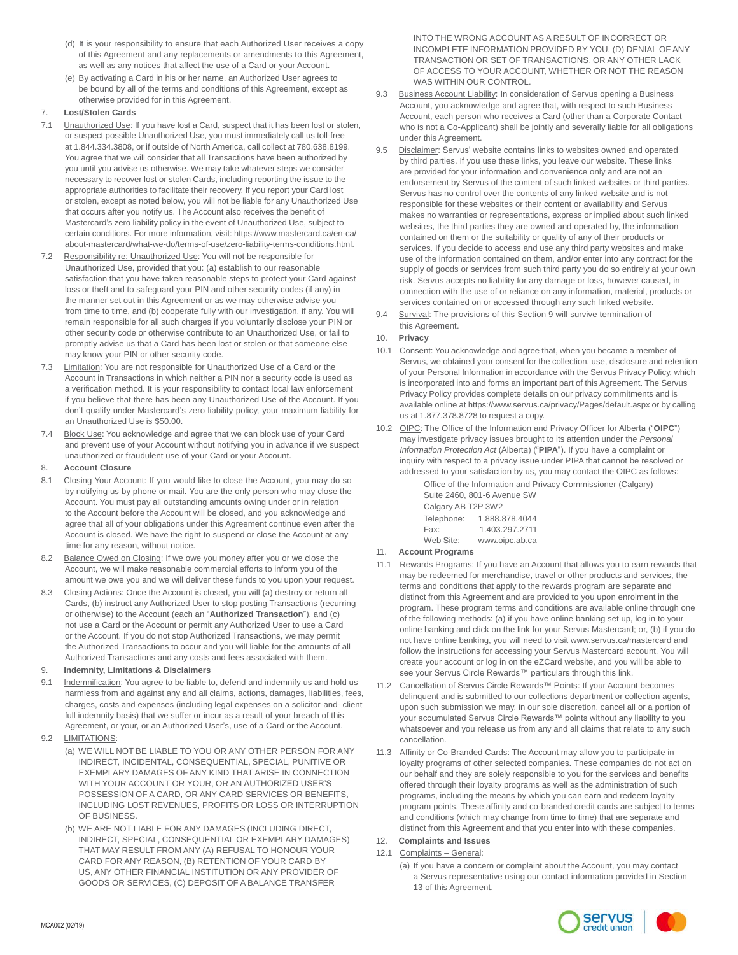- (d) It is your responsibility to ensure that each Authorized User receives a copy of this Agreement and any replacements or amendments to this Agreement, as well as any notices that affect the use of a Card or your Account.
- (e) By activating a Card in his or her name, an Authorized User agrees to be bound by all of the terms and conditions of this Agreement, except as otherwise provided for in this Agreement.

# 7. **Lost/Stolen Cards**

- 7.1 Unauthorized Use: If you have lost a Card, suspect that it has been lost or stolen, or suspect possible Unauthorized Use, you must immediately call us toll-free at 1.844.334.3808, or if outside of North America, call collect at 780.638.8199. You agree that we will consider that all Transactions have been authorized by you until you advise us otherwise. We may take whatever steps we consider necessary to recover lost or stolen Cards, including reporting the issue to the appropriate authorities to facilitate their recovery. If you report your Card lost or stolen, except as noted below, you will not be liable for any Unauthorized Use that occurs after you notify us. The Account also receives the benefit of Mastercard's zero liability policy in the event of Unauthorized Use, subject to certain conditions. For more information, visit: [https://www.mastercard.ca/en-ca/](http://www.mastercard.ca/en-ca/) about-mastercard/what-we-do/terms-of-use/zero-liability-terms-conditions.html.
- 7.2 Responsibility re: Unauthorized Use: You will not be responsible for Unauthorized Use, provided that you: (a) establish to our reasonable satisfaction that you have taken reasonable steps to protect your Card against loss or theft and to safeguard your PIN and other security codes (if any) in the manner set out in this Agreement or as we may otherwise advise you from time to time, and (b) cooperate fully with our investigation, if any. You will remain responsible for all such charges if you voluntarily disclose your PIN or other security code or otherwise contribute to an Unauthorized Use, or fail to promptly advise us that a Card has been lost or stolen or that someone else may know your PIN or other security code.
- 7.3 Limitation: You are not responsible for Unauthorized Use of a Card or the Account in Transactions in which neither a PIN nor a security code is used as a verification method. It is your responsibility to contact local law enforcement if you believe that there has been any Unauthorized Use of the Account. If you don't qualify under Mastercard's zero liability policy, your maximum liability for an Unauthorized Use is \$50.00.
- 7.4 Block Use: You acknowledge and agree that we can block use of your Card and prevent use of your Account without notifying you in advance if we suspect unauthorized or fraudulent use of your Card or your Account.

#### 8. **Account Closure**

- 8.1 Closing Your Account: If you would like to close the Account, you may do so by notifying us by phone or mail. You are the only person who may close the Account. You must pay all outstanding amounts owing under or in relation to the Account before the Account will be closed, and you acknowledge and agree that all of your obligations under this Agreement continue even after the Account is closed. We have the right to suspend or close the Account at any time for any reason, without notice.
- 8.2 Balance Owed on Closing: If we owe you money after you or we close the Account, we will make reasonable commercial efforts to inform you of the amount we owe you and we will deliver these funds to you upon your request.
- Closing Actions: Once the Account is closed, you will (a) destroy or return all Cards, (b) instruct any Authorized User to stop posting Transactions (recurring or otherwise) to the Account (each an "**Authorized Transaction**"), and (c) not use a Card or the Account or permit any Authorized User to use a Card or the Account. If you do not stop Authorized Transactions, we may permit the Authorized Transactions to occur and you will liable for the amounts of all Authorized Transactions and any costs and fees associated with them.

# 9. **Indemnity, Limitations & Disclaimers**

- 9.1 Indemnification: You agree to be liable to, defend and indemnify us and hold us harmless from and against any and all claims, actions, damages, liabilities, fees, charges, costs and expenses (including legal expenses on a solicitor-and- client full indemnity basis) that we suffer or incur as a result of your breach of this Agreement, or your, or an Authorized User's, use of a Card or the Account.
- 9.2 LIMITATIONS:
	- (a) WE WILL NOT BE LIABLE TO YOU OR ANY OTHER PERSON FOR ANY INDIRECT, INCIDENTAL, CONSEQUENTIAL, SPECIAL, PUNITIVE OR EXEMPLARY DAMAGES OF ANY KIND THAT ARISE IN CONNECTION WITH YOUR ACCOUNT OR YOUR, OR AN AUTHORIZED USER'S POSSESSION OF A CARD, OR ANY CARD SERVICES OR BENEFITS, INCLUDING LOST REVENUES, PROFITS OR LOSS OR INTERRUPTION OF BUSINESS.
	- (b) WE ARE NOT LIABLE FOR ANY DAMAGES (INCLUDING DIRECT, INDIRECT, SPECIAL, CONSEQUENTIAL OR EXEMPLARY DAMAGES) THAT MAY RESULT FROM ANY (A) REFUSAL TO HONOUR YOUR CARD FOR ANY REASON, (B) RETENTION OF YOUR CARD BY US, ANY OTHER FINANCIAL INSTITUTION OR ANY PROVIDER OF GOODS OR SERVICES, (C) DEPOSIT OF A BALANCE TRANSFER

INTO THE WRONG ACCOUNT AS A RESULT OF INCORRECT OR INCOMPLETE INFORMATION PROVIDED BY YOU, (D) DENIAL OF ANY TRANSACTION OR SET OF TRANSACTIONS, OR ANY OTHER LACK OF ACCESS TO YOUR ACCOUNT, WHETHER OR NOT THE REASON WAS WITHIN OUR CONTROL.

- 9.3 Business Account Liability: In consideration of Servus opening a Business Account, you acknowledge and agree that, with respect to such Business Account, each person who receives a Card (other than a Corporate Contact who is not a Co-Applicant) shall be jointly and severally liable for all obligations under this Agreement.
- Disclaimer: Servus' website contains links to websites owned and operated by third parties. If you use these links, you leave our website. These links are provided for your information and convenience only and are not an endorsement by Servus of the content of such linked websites or third parties. Servus has no control over the contents of any linked website and is not responsible for these websites or their content or availability and Servus makes no warranties or representations, express or implied about such linked websites, the third parties they are owned and operated by, the information contained on them or the suitability or quality of any of their products or services. If you decide to access and use any third party websites and make use of the information contained on them, and/or enter into any contract for the supply of goods or services from such third party you do so entirely at your own risk. Servus accepts no liability for any damage or loss, however caused, in connection with the use of or reliance on any information, material, products or services contained on or accessed through any such linked website.
- 9.4 Survival: The provisions of this Section 9 will survive termination of this Agreement.

# 10. **Privacy**

- 10.1 Consent: You acknowledge and agree that, when you became a member of Servus, we obtained your consent for the collection, use, disclosure and retention of your Personal Information in accordance with the Servus Privacy Policy, which is incorporated into and forms an important part of this Agreement. The Servus Privacy Policy provides complete details on our privacy commitments and is available online at [https://www.servus.ca/privacy/Pages/default.aspx](http://www.servus.ca/privacy/Pages/default.aspx) or by calling us at 1.877.378.8728 to request a copy.
- 10.2 OIPC: The Office of the Information and Privacy Officer for Alberta ("**OIPC**") may investigate privacy issues brought to its attention under the *Personal Information Protection Act* (Alberta) ("**PIPA**"). If you have a complaint or inquiry with respect to a privacy issue under PIPA that cannot be resolved or addressed to your satisfaction by us, you may contact the OIPC as follows:

Office of the Information and Privacy Commissioner (Calgary) Suite 2460, 801-6 Avenue SW

| Calgary AB T2P 3W2 |                |
|--------------------|----------------|
| Telephone:         | 1.888.878.4044 |
| Fax:               | 1.403.297.2711 |

- Web Site: [www.oipc.ab.ca](http://www.oipc.ab.ca/)
- 11. **Account Programs**
- 11.1 Rewards Programs: If you have an Account that allows you to earn rewards that may be redeemed for merchandise, travel or other products and services, the terms and conditions that apply to the rewards program are separate and distinct from this Agreement and are provided to you upon enrolment in the program. These program terms and conditions are available online through one of the following methods: (a) if you have online banking set up, log in to your online banking and click on the link for your Servus Mastercard; or, (b) if you do not have online banking, you will need to [visit www.s](http://www.servus.ca/mastercard)ervus.ca/mastercard and follow the instructions for accessing your Servus Mastercard account. You will create your account or log in on the eZCard website, and you will be able to see your Servus Circle Rewards™ particulars through this link.
- 11.2 Cancellation of Servus Circle Rewards™ Points: If your Account becomes delinquent and is submitted to our collections department or collection agents, upon such submission we may, in our sole discretion, cancel all or a portion of your accumulated Servus Circle Rewards™ points without any liability to you whatsoever and you release us from any and all claims that relate to any such cancellation.
- 11.3 Affinity or Co-Branded Cards: The Account may allow you to participate in loyalty programs of other selected companies. These companies do not act on our behalf and they are solely responsible to you for the services and benefits offered through their loyalty programs as well as the administration of such programs, including the means by which you can earn and redeem loyalty program points. These affinity and co-branded credit cards are subject to terms and conditions (which may change from time to time) that are separate and distinct from this Agreement and that you enter into with these companies.

# 12. **Complaints and Issues**

- 12.1 Complaints General:
	- (a) If you have a concern or complaint about the Account, you may contact a Servus representative using our contact information provided in Section 13 of this Agreement.